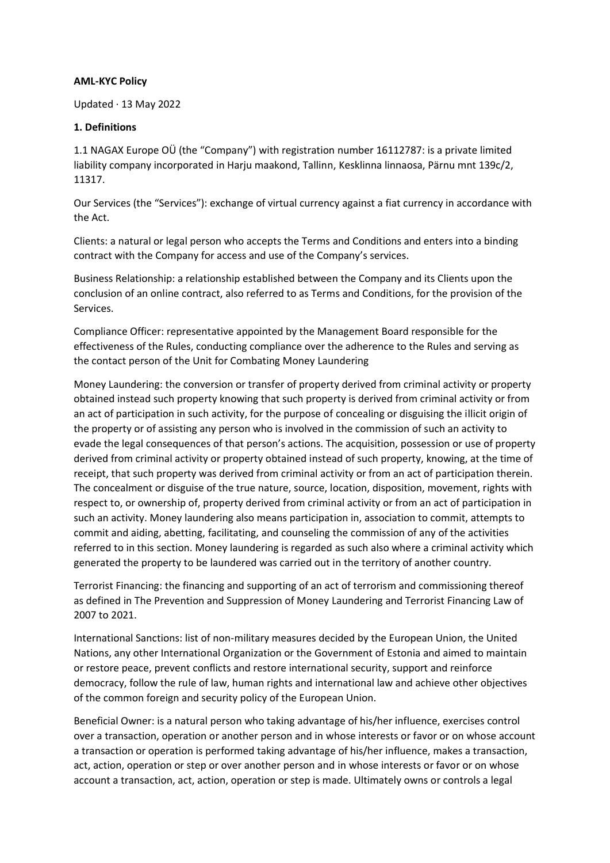### **AML-KYC Policy**

Updated · 13 May 2022

### **1. Definitions**

1.1 NAGAX Europe OÜ (the "Company") with registration number 16112787: is a private limited liability company incorporated in Harju maakond, Tallinn, Kesklinna linnaosa, Pärnu mnt 139c/2, 11317.

Our Services (the "Services"): exchange of virtual currency against a fiat currency in accordance with the Act.

Clients: a natural or legal person who accepts the Terms and Conditions and enters into a binding contract with the Company for access and use of the Company's services.

Business Relationship: a relationship established between the Company and its Clients upon the conclusion of an online contract, also referred to as Terms and Conditions, for the provision of the Services.

Compliance Officer: representative appointed by the Management Board responsible for the effectiveness of the Rules, conducting compliance over the adherence to the Rules and serving as the contact person of the Unit for Combating Money Laundering

Money Laundering: the conversion or transfer of property derived from criminal activity or property obtained instead such property knowing that such property is derived from criminal activity or from an act of participation in such activity, for the purpose of concealing or disguising the illicit origin of the property or of assisting any person who is involved in the commission of such an activity to evade the legal consequences of that person's actions. The acquisition, possession or use of property derived from criminal activity or property obtained instead of such property, knowing, at the time of receipt, that such property was derived from criminal activity or from an act of participation therein. The concealment or disguise of the true nature, source, location, disposition, movement, rights with respect to, or ownership of, property derived from criminal activity or from an act of participation in such an activity. Money laundering also means participation in, association to commit, attempts to commit and aiding, abetting, facilitating, and counseling the commission of any of the activities referred to in this section. Money laundering is regarded as such also where a criminal activity which generated the property to be laundered was carried out in the territory of another country.

Terrorist Financing: the financing and supporting of an act of terrorism and commissioning thereof as defined in The Prevention and Suppression of Money Laundering and Terrorist Financing Law of 2007 to 2021.

International Sanctions: list of non-military measures decided by the European Union, the United Nations, any other International Organization or the Government of Estonia and aimed to maintain or restore peace, prevent conflicts and restore international security, support and reinforce democracy, follow the rule of law, human rights and international law and achieve other objectives of the common foreign and security policy of the European Union.

Beneficial Owner: is a natural person who taking advantage of his/her influence, exercises control over a transaction, operation or another person and in whose interests or favor or on whose account a transaction or operation is performed taking advantage of his/her influence, makes a transaction, act, action, operation or step or over another person and in whose interests or favor or on whose account a transaction, act, action, operation or step is made. Ultimately owns or controls a legal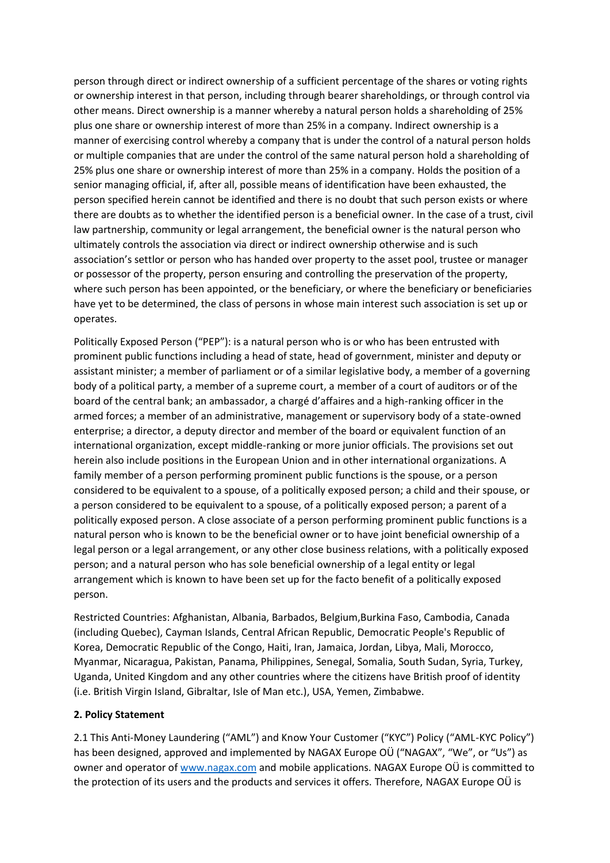person through direct or indirect ownership of a sufficient percentage of the shares or voting rights or ownership interest in that person, including through bearer shareholdings, or through control via other means. Direct ownership is a manner whereby a natural person holds a shareholding of 25% plus one share or ownership interest of more than 25% in a company. Indirect ownership is a manner of exercising control whereby a company that is under the control of a natural person holds or multiple companies that are under the control of the same natural person hold a shareholding of 25% plus one share or ownership interest of more than 25% in a company. Holds the position of a senior managing official, if, after all, possible means of identification have been exhausted, the person specified herein cannot be identified and there is no doubt that such person exists or where there are doubts as to whether the identified person is a beneficial owner. In the case of a trust, civil law partnership, community or legal arrangement, the beneficial owner is the natural person who ultimately controls the association via direct or indirect ownership otherwise and is such association's settlor or person who has handed over property to the asset pool, trustee or manager or possessor of the property, person ensuring and controlling the preservation of the property, where such person has been appointed, or the beneficiary, or where the beneficiary or beneficiaries have yet to be determined, the class of persons in whose main interest such association is set up or operates.

Politically Exposed Person ("PEP"): is a natural person who is or who has been entrusted with prominent public functions including a head of state, head of government, minister and deputy or assistant minister; a member of parliament or of a similar legislative body, a member of a governing body of a political party, a member of a supreme court, a member of a court of auditors or of the board of the central bank; an ambassador, a chargé d'affaires and a high-ranking officer in the armed forces; a member of an administrative, management or supervisory body of a state-owned enterprise; a director, a deputy director and member of the board or equivalent function of an international organization, except middle-ranking or more junior officials. The provisions set out herein also include positions in the European Union and in other international organizations. A family member of a person performing prominent public functions is the spouse, or a person considered to be equivalent to a spouse, of a politically exposed person; a child and their spouse, or a person considered to be equivalent to a spouse, of a politically exposed person; a parent of a politically exposed person. A close associate of a person performing prominent public functions is a natural person who is known to be the beneficial owner or to have joint beneficial ownership of a legal person or a legal arrangement, or any other close business relations, with a politically exposed person; and a natural person who has sole beneficial ownership of a legal entity or legal arrangement which is known to have been set up for the facto benefit of a politically exposed person.

Restricted Countries: Afghanistan, Albania, Barbados, Belgium,Burkina Faso, Cambodia, Canada (including Quebec), Cayman Islands, Central African Republic, Democratic People's Republic of Korea, Democratic Republic of the Congo, Haiti, Iran, Jamaica, Jordan, Libya, Mali, Morocco, Myanmar, Nicaragua, Pakistan, Panama, Philippines, Senegal, Somalia, South Sudan, Syria, Turkey, Uganda, United Kingdom and any other countries where the citizens have British proof of identity (i.e. British Virgin Island, Gibraltar, Isle of Man etc.), USA, Yemen, Zimbabwe.

### **2. Policy Statement**

2.1 This Anti-Money Laundering ("AML") and Know Your Customer ("KYC") Policy ("AML-KYC Policy") has been designed, approved and implemented by NAGAX Europe OÜ ("NAGAX", "We", or "Us") as owner and operator of [www.nagax.com](http://www.nagax.com/) and mobile applications. NAGAX Europe OÜ is committed to the protection of its users and the products and services it offers. Therefore, NAGAX Europe OÜ is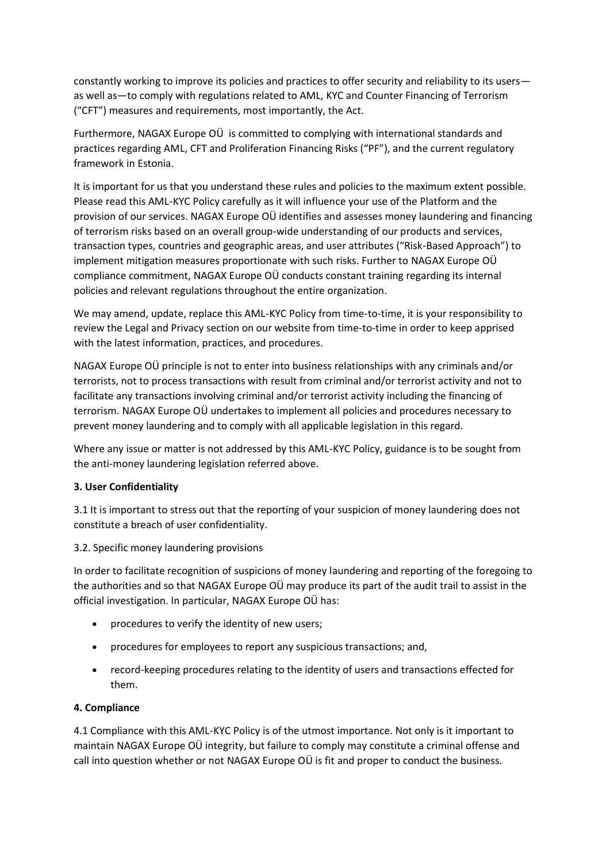constantly working to improve its policies and practices to offer security and reliability to its users as well as—to comply with regulations related to AML, KYC and Counter Financing of Terrorism ("CFT") measures and requirements, most importantly, the Act.

Furthermore, NAGAX Europe OÜ is committed to complying with international standards and practices regarding AML, CFT and Proliferation Financing Risks ("PF"), and the current regulatory framework in Estonia.

It is important for us that you understand these rules and policies to the maximum extent possible. Please read this AML-KYC Policy carefully as it will influence your use of the Platform and the provision of our services. NAGAX Europe OÜ identifies and assesses money laundering and financing of terrorism risks based on an overall group-wide understanding of our products and services, transaction types, countries and geographic areas, and user attributes ("Risk-Based Approach") to implement mitigation measures proportionate with such risks. Further to NAGAX Europe OÜ compliance commitment, NAGAX Europe OÜ conducts constant training regarding its internal policies and relevant regulations throughout the entire organization.

We may amend, update, replace this AML-KYC Policy from time-to-time, it is your responsibility to review the Legal and Privacy section on our website from time-to-time in order to keep apprised with the latest information, practices, and procedures.

NAGAX Europe OÜ principle is not to enter into business relationships with any criminals and/or terrorists, not to process transactions with result from criminal and/or terrorist activity and not to facilitate any transactions involving criminal and/or terrorist activity including the financing of terrorism. NAGAX Europe OÜ undertakes to implement all policies and procedures necessary to prevent money laundering and to comply with all applicable legislation in this regard.

Where any issue or matter is not addressed by this AML-KYC Policy, guidance is to be sought from the anti-money laundering legislation referred above.

# **3. User Confidentiality**

3.1 It is important to stress out that the reporting of your suspicion of money laundering does not constitute a breach of user confidentiality.

### 3.2. Specific money laundering provisions

In order to facilitate recognition of suspicions of money laundering and reporting of the foregoing to the authorities and so that NAGAX Europe OÜ may produce its part of the audit trail to assist in the official investigation. In particular, NAGAX Europe OÜ has:

- procedures to verify the identity of new users;
- procedures for employees to report any suspicious transactions; and,
- record-keeping procedures relating to the identity of users and transactions effected for them.

### **4. Compliance**

4.1 Compliance with this AML-KYC Policy is of the utmost importance. Not only is it important to maintain NAGAX Europe OÜ integrity, but failure to comply may constitute a criminal offense and call into question whether or not NAGAX Europe OÜ is fit and proper to conduct the business.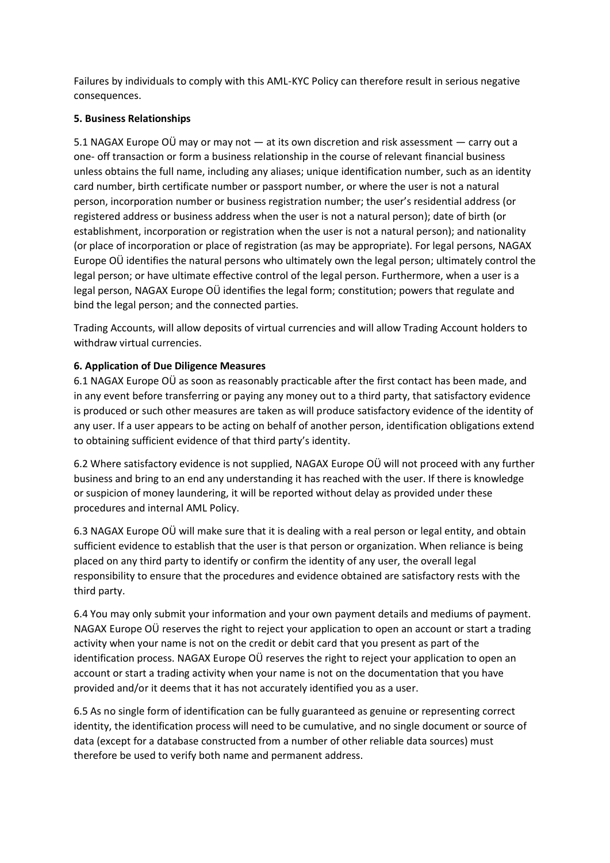Failures by individuals to comply with this AML-KYC Policy can therefore result in serious negative consequences.

### **5. Business Relationships**

5.1 NAGAX Europe OÜ may or may not — at its own discretion and risk assessment — carry out a one- off transaction or form a business relationship in the course of relevant financial business unless obtains the full name, including any aliases; unique identification number, such as an identity card number, birth certificate number or passport number, or where the user is not a natural person, incorporation number or business registration number; the user's residential address (or registered address or business address when the user is not a natural person); date of birth (or establishment, incorporation or registration when the user is not a natural person); and nationality (or place of incorporation or place of registration (as may be appropriate). For legal persons, NAGAX Europe OÜ identifies the natural persons who ultimately own the legal person; ultimately control the legal person; or have ultimate effective control of the legal person. Furthermore, when a user is a legal person, NAGAX Europe OÜ identifies the legal form; constitution; powers that regulate and bind the legal person; and the connected parties.

Trading Accounts, will allow deposits of virtual currencies and will allow Trading Account holders to withdraw virtual currencies.

# **6. Application of Due Diligence Measures**

6.1 NAGAX Europe OÜ as soon as reasonably practicable after the first contact has been made, and in any event before transferring or paying any money out to a third party, that satisfactory evidence is produced or such other measures are taken as will produce satisfactory evidence of the identity of any user. If a user appears to be acting on behalf of another person, identification obligations extend to obtaining sufficient evidence of that third party's identity.

6.2 Where satisfactory evidence is not supplied, NAGAX Europe OÜ will not proceed with any further business and bring to an end any understanding it has reached with the user. If there is knowledge or suspicion of money laundering, it will be reported without delay as provided under these procedures and internal AML Policy.

6.3 NAGAX Europe OÜ will make sure that it is dealing with a real person or legal entity, and obtain sufficient evidence to establish that the user is that person or organization. When reliance is being placed on any third party to identify or confirm the identity of any user, the overall legal responsibility to ensure that the procedures and evidence obtained are satisfactory rests with the third party.

6.4 You may only submit your information and your own payment details and mediums of payment. NAGAX Europe OÜ reserves the right to reject your application to open an account or start a trading activity when your name is not on the credit or debit card that you present as part of the identification process. NAGAX Europe OÜ reserves the right to reject your application to open an account or start a trading activity when your name is not on the documentation that you have provided and/or it deems that it has not accurately identified you as a user.

6.5 As no single form of identification can be fully guaranteed as genuine or representing correct identity, the identification process will need to be cumulative, and no single document or source of data (except for a database constructed from a number of other reliable data sources) must therefore be used to verify both name and permanent address.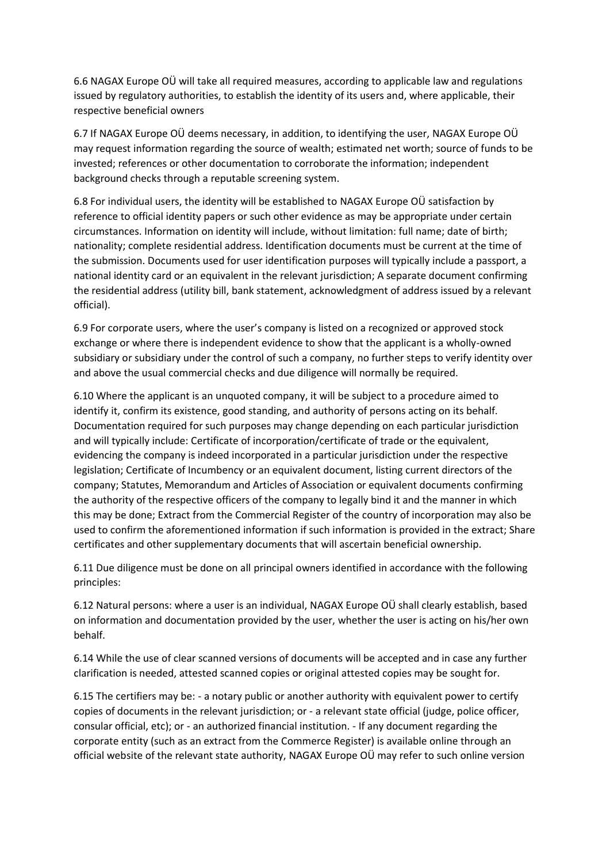6.6 NAGAX Europe OÜ will take all required measures, according to applicable law and regulations issued by regulatory authorities, to establish the identity of its users and, where applicable, their respective beneficial owners

6.7 If NAGAX Europe OÜ deems necessary, in addition, to identifying the user, NAGAX Europe OÜ may request information regarding the source of wealth; estimated net worth; source of funds to be invested; references or other documentation to corroborate the information; independent background checks through a reputable screening system.

6.8 For individual users, the identity will be established to NAGAX Europe OÜ satisfaction by reference to official identity papers or such other evidence as may be appropriate under certain circumstances. Information on identity will include, without limitation: full name; date of birth; nationality; complete residential address. Identification documents must be current at the time of the submission. Documents used for user identification purposes will typically include a passport, a national identity card or an equivalent in the relevant jurisdiction; A separate document confirming the residential address (utility bill, bank statement, acknowledgment of address issued by a relevant official).

6.9 For corporate users, where the user's company is listed on a recognized or approved stock exchange or where there is independent evidence to show that the applicant is a wholly-owned subsidiary or subsidiary under the control of such a company, no further steps to verify identity over and above the usual commercial checks and due diligence will normally be required.

6.10 Where the applicant is an unquoted company, it will be subject to a procedure aimed to identify it, confirm its existence, good standing, and authority of persons acting on its behalf. Documentation required for such purposes may change depending on each particular jurisdiction and will typically include: Certificate of incorporation/certificate of trade or the equivalent, evidencing the company is indeed incorporated in a particular jurisdiction under the respective legislation; Certificate of Incumbency or an equivalent document, listing current directors of the company; Statutes, Memorandum and Articles of Association or equivalent documents confirming the authority of the respective officers of the company to legally bind it and the manner in which this may be done; Extract from the Commercial Register of the country of incorporation may also be used to confirm the aforementioned information if such information is provided in the extract; Share certificates and other supplementary documents that will ascertain beneficial ownership.

6.11 Due diligence must be done on all principal owners identified in accordance with the following principles:

6.12 Natural persons: where a user is an individual, NAGAX Europe OÜ shall clearly establish, based on information and documentation provided by the user, whether the user is acting on his/her own behalf.

6.14 While the use of clear scanned versions of documents will be accepted and in case any further clarification is needed, attested scanned copies or original attested copies may be sought for.

6.15 The certifiers may be: - a notary public or another authority with equivalent power to certify copies of documents in the relevant jurisdiction; or - a relevant state official (judge, police officer, consular official, etc); or - an authorized financial institution. - If any document regarding the corporate entity (such as an extract from the Commerce Register) is available online through an official website of the relevant state authority, NAGAX Europe OÜ may refer to such online version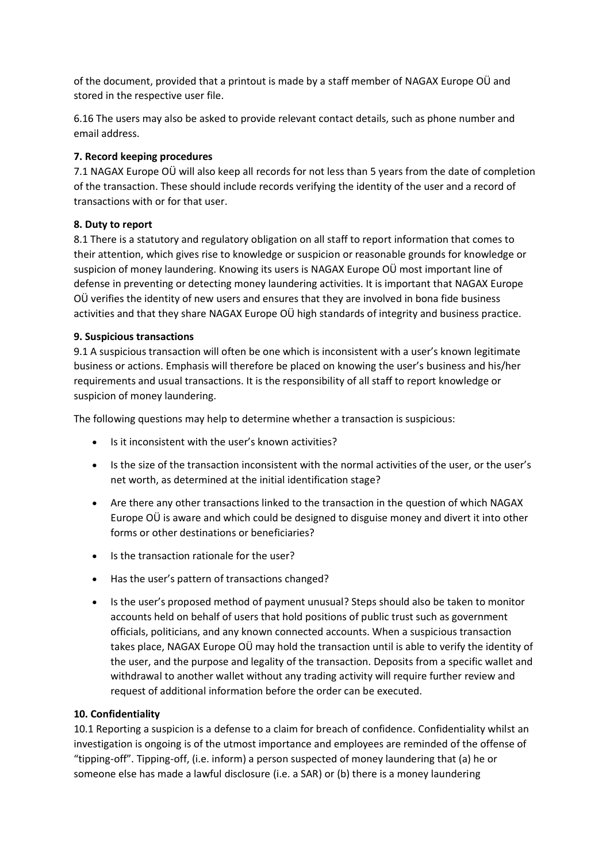of the document, provided that a printout is made by a staff member of NAGAX Europe OÜ and stored in the respective user file.

6.16 The users may also be asked to provide relevant contact details, such as phone number and email address.

# **7. Record keeping procedures**

7.1 NAGAX Europe OÜ will also keep all records for not less than 5 years from the date of completion of the transaction. These should include records verifying the identity of the user and a record of transactions with or for that user.

# **8. Duty to report**

8.1 There is a statutory and regulatory obligation on all staff to report information that comes to their attention, which gives rise to knowledge or suspicion or reasonable grounds for knowledge or suspicion of money laundering. Knowing its users is NAGAX Europe OÜ most important line of defense in preventing or detecting money laundering activities. It is important that NAGAX Europe OÜ verifies the identity of new users and ensures that they are involved in bona fide business activities and that they share NAGAX Europe OÜ high standards of integrity and business practice.

# **9. Suspicious transactions**

9.1 A suspicious transaction will often be one which is inconsistent with a user's known legitimate business or actions. Emphasis will therefore be placed on knowing the user's business and his/her requirements and usual transactions. It is the responsibility of all staff to report knowledge or suspicion of money laundering.

The following questions may help to determine whether a transaction is suspicious:

- Is it inconsistent with the user's known activities?
- Is the size of the transaction inconsistent with the normal activities of the user, or the user's net worth, as determined at the initial identification stage?
- Are there any other transactions linked to the transaction in the question of which NAGAX Europe OÜ is aware and which could be designed to disguise money and divert it into other forms or other destinations or beneficiaries?
- Is the transaction rationale for the user?
- Has the user's pattern of transactions changed?
- Is the user's proposed method of payment unusual? Steps should also be taken to monitor accounts held on behalf of users that hold positions of public trust such as government officials, politicians, and any known connected accounts. When a suspicious transaction takes place, NAGAX Europe OÜ may hold the transaction until is able to verify the identity of the user, and the purpose and legality of the transaction. Deposits from a specific wallet and withdrawal to another wallet without any trading activity will require further review and request of additional information before the order can be executed.

# **10. Confidentiality**

10.1 Reporting a suspicion is a defense to a claim for breach of confidence. Confidentiality whilst an investigation is ongoing is of the utmost importance and employees are reminded of the offense of "tipping-off". Tipping-off, (i.e. inform) a person suspected of money laundering that (a) he or someone else has made a lawful disclosure (i.e. a SAR) or (b) there is a money laundering